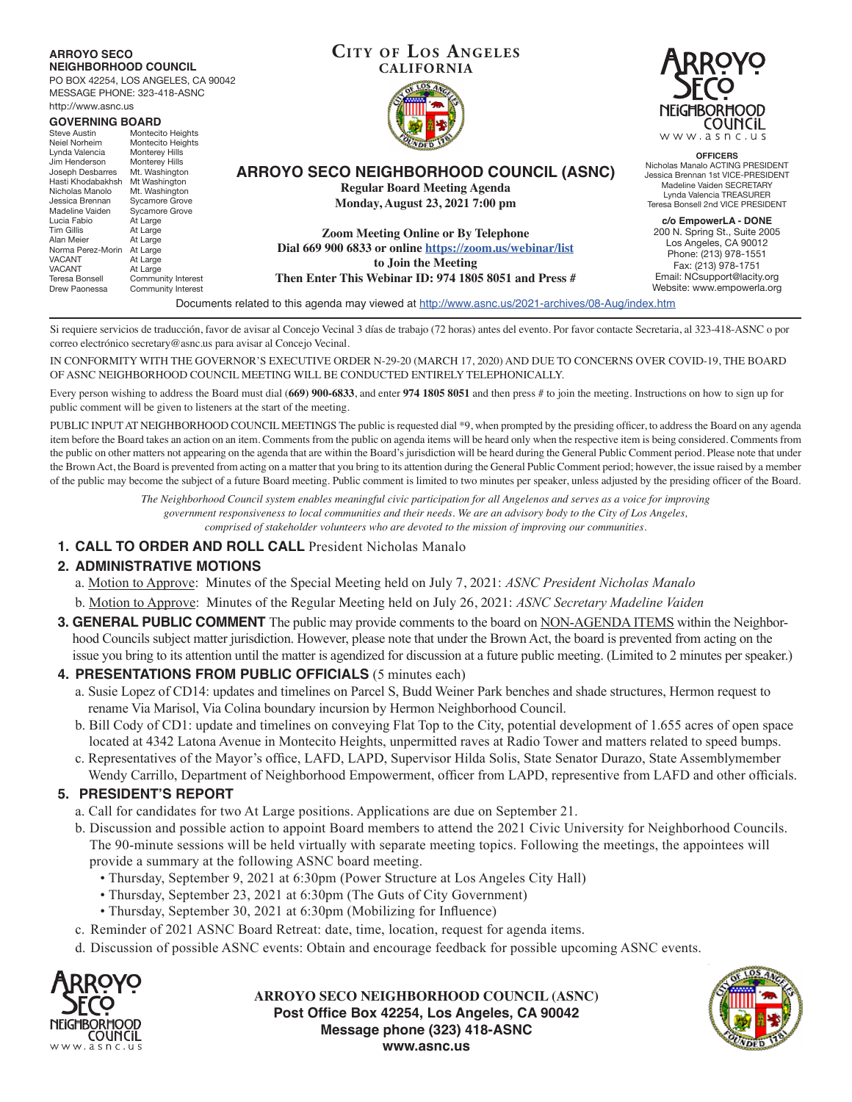#### **Cit y of Los Angeles ARROYO SECO NEIGHBORHOOD COUNCIL CALIFORNIA** PO BOX 42254, LOS ANGELES, CA 90042 MESSAGE PHONE: 323-418-ASNC http://www.asnc.us NFIGHBORHOOD **GOVERNING BOARD**<br>Steve Austin Montecit **COUNCIL** Steve Austin Montecito Heights<br>Neiel Norheim Montecito Heights www.asnc.us Neiel Norheim Montecito Heights<br>Lynda Valencia Monterey Hills Monterey Hills<br>Monterey Hills **OFFICERS** Jim Henderson Monterey Hills<br>Joseph Desbarres Mt. Washington Nicholas Manalo ACTING PRESIDENT **ARROYO SECO NEIGHBORHOOD COUNCIL (ASNC)** Joseph Desbarres Mt. Washington<br>Hasti Khodabakhsh Mt Washington Jessica Brennan 1st VICE-PRESIDENT Hasti Khodabakhsh Mt Washington<br>Nicholas Manolo Mt. Washington Madeline Vaiden SECRETARY **Regular Board Meeting Agenda** Nicholas Manolo<br>Jessica Brennan Lynda Valencia TREASURER Jessica Brennan Sycamore Grove **Monday, August 23, 2021 7:00 pm** Teresa Bonsell 2nd VICE PRESIDENT Madeline Vaiden Sycamore Grove<br>Lucia Fabio At Large Lucia<br>At Large<br>At Large **c/o EmpowerLA - DONE** Tim Gillis<br>Alan Meier 200 N. Spring St., Suite 2005 **Zoom Meeting Online or By Telephone** At Large<br>At Large Los Angeles, CA 90012 **Dial 669 900 6833 or online https://zoom.us/webinar/list** Norma Perez-Morin<br>VACANT Phone: (213) 978-1551 VACANT At Large<br>VACANT At Large **to Join the Meeting** Fax: (213) 978-1751 VACANT At Large<br>Teresa Bonsell Commur Email: NCsupport@lacity.org Teresa Bonsell Community Interest<br>Drew Paonessa Community Interest **Then Enter This Webinar ID: 974 1805 8051 and Press #** Website: www.empowerla.orgCommunity Interest Documents related to this agenda may viewed at http://www.asnc.us/2021-archives/08-Aug/index.htm

Si requiere servicios de traducción, favor de avisar al Concejo Vecinal 3 días de trabajo (72 horas) antes del evento. Por favor contacte Secretaria, al 323-418-ASNC o por correo electrónico secretary@asnc.us para avisar al Concejo Vecinal.

IN CONFORMITY WITH THE GOVERNOR'S EXECUTIVE ORDER N-29-20 (MARCH 17, 2020) AND DUE TO CONCERNS OVER COVID-19, THE BOARD OF ASNC NEIGHBORHOOD COUNCIL MEETING WILL BE CONDUCTED ENTIRELY TELEPHONICALLY.

Every person wishing to address the Board must dial (**669) 900-6833**, and enter **974 1805 8051** and then press # to join the meeting. Instructions on how to sign up for public comment will be given to listeners at the start of the meeting.

PUBLIC INPUT AT NEIGHBORHOOD COUNCIL MEETINGS The public is requested dial \*9, when prompted by the presiding officer, to address the Board on any agenda item before the Board takes an action on an item. Comments from the public on agenda items will be heard only when the respective item is being considered. Comments from the public on other matters not appearing on the agenda that are within the Board's jurisdiction will be heard during the General Public Comment period. Please note that under the Brown Act, the Board is prevented from acting on a matter that you bring to its attention during the General Public Comment period; however, the issue raised by a member of the public may become the subject of a future Board meeting. Public comment is limited to two minutes per speaker, unless adjusted by the presiding officer of the Board.

> *The Neighborhood Council system enables meaningful civic participation for all Angelenos and serves as a voice for improving government responsiveness to local communities and their needs. We are an advisory body to the City of Los Angeles, comprised of stakeholder volunteers who are devoted to the mission of improving our communities.*

**1. CALL TO ORDER AND ROLL CALL** President Nicholas Manalo

# **2. ADMINISTRATIVE MOTIONS**

a. Motion to Approve: Minutes of the Special Meeting held on July 7, 2021: *ASNC President Nicholas Manalo*

- b. Motion to Approve: Minutes of the Regular Meeting held on July 26, 2021: *ASNC Secretary Madeline Vaiden*
- **3. GENERAL PUBLIC COMMENT** The public may provide comments to the board on NON-AGENDA ITEMS within the Neighborhood Councils subject matter jurisdiction. However, please note that under the Brown Act, the board is prevented from acting on the issue you bring to its attention until the matter is agendized for discussion at a future public meeting. (Limited to 2 minutes per speaker.)

# **4. PRESENTATIONS FROM PUBLIC OFFICIALS** (5 minutes each)

- a. Susie Lopez of CD14: updates and timelines on Parcel S, Budd Weiner Park benches and shade structures, Hermon request to rename Via Marisol, Via Colina boundary incursion by Hermon Neighborhood Council.
- b. Bill Cody of CD1: update and timelines on conveying Flat Top to the City, potential development of 1.655 acres of open space located at 4342 Latona Avenue in Montecito Heights, unpermitted raves at Radio Tower and matters related to speed bumps.
- c. Representatives of the Mayor's office, LAFD, LAPD, Supervisor Hilda Solis, State Senator Durazo, State Assemblymember Wendy Carrillo, Department of Neighborhood Empowerment, officer from LAPD, representive from LAFD and other officials.

# **5. PRESIDENT'S REPORT**

- a. Call for candidates for two At Large positions. Applications are due on September 21.
- b. Discussion and possible action to appoint Board members to attend the 2021 Civic University for Neighborhood Councils. The 90-minute sessions will be held virtually with separate meeting topics. Following the meetings, the appointees will provide a summary at the following ASNC board meeting.
	- Thursday, September 9, 2021 at 6:30pm (Power Structure at Los Angeles City Hall)
	- Thursday, September 23, 2021 at 6:30pm (The Guts of City Government)
	- Thursday, September 30, 2021 at 6:30pm (Mobilizing for Influence)
- c. Reminder of 2021 ASNC Board Retreat: date, time, location, request for agenda items.
- d. Discussion of possible ASNC events: Obtain and encourage feedback for possible upcoming ASNC events.



**ARROYO SECO NEIGHBORHOOD COUNCIL (ASNC) Post Office Box 42254, Los Angeles, CA 90042 Message phone (323) 418-ASNC www.asnc.us**